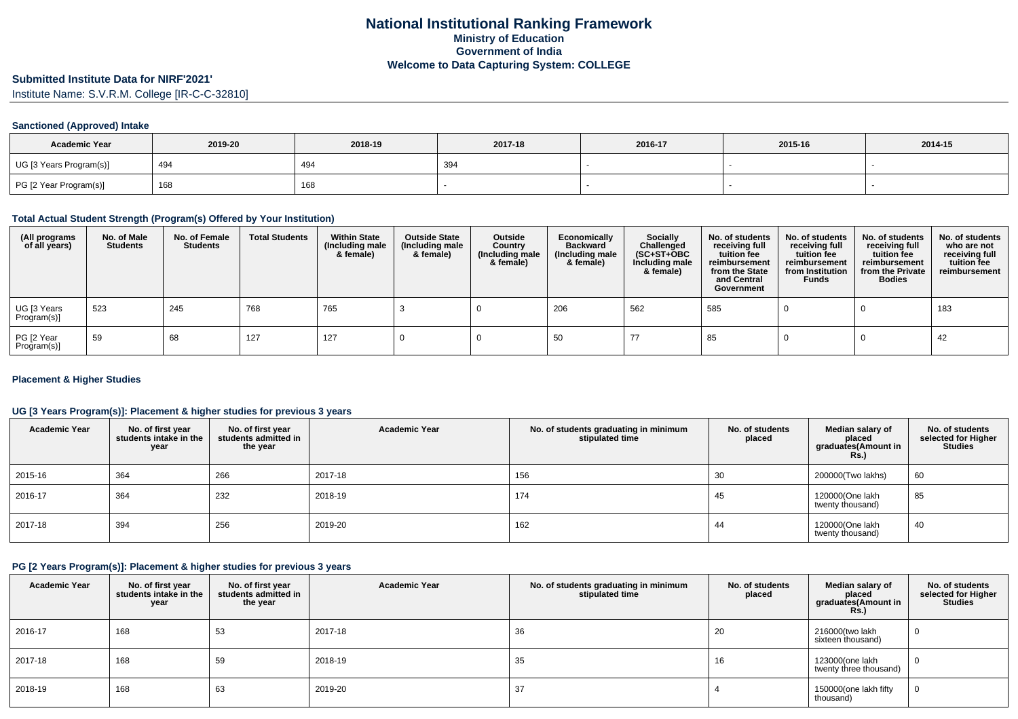# **Submitted Institute Data for NIRF'2021'**

Institute Name: S.V.R.M. College [IR-C-C-32810]

### **Sanctioned (Approved) Intake**

| <b>Academic Year</b>    | 2019-20 | 2018-19 | 2017-18 | 2016-17 | 2015-16 | 2014-15 |
|-------------------------|---------|---------|---------|---------|---------|---------|
| UG [3 Years Program(s)] | 494     | 494     | 394     |         |         |         |
| PG [2 Year Program(s)]  | 168     | 168     |         |         |         |         |

#### **Total Actual Student Strength (Program(s) Offered by Your Institution)**

| (All programs<br>of all years) | No. of Male<br><b>Students</b> | No. of Female<br><b>Students</b> | <b>Total Students</b> | <b>Within State</b><br>(Including male<br>& female) | <b>Outside State</b><br>(Including male<br>& female) | Outside<br>Country<br>(Including male<br>& female) | Economically<br><b>Backward</b><br>(Including male<br>& female) | <b>Socially</b><br>Challenged<br>$(SC+ST+OBC)$<br>Including male<br>& female) | No. of students<br>receiving full<br>tuition fee<br>reimbursement<br>from the State<br>and Central<br>Government | No. of students<br>receiving full<br>tuition fee<br>reimbursement<br>from Institution<br><b>Funds</b> | No. of students<br>receiving full<br>tuition fee<br>reimbursement<br>from the Private<br><b>Bodies</b> | No. of students<br>who are not<br>receiving full<br>tuition fee<br>reimbursement |
|--------------------------------|--------------------------------|----------------------------------|-----------------------|-----------------------------------------------------|------------------------------------------------------|----------------------------------------------------|-----------------------------------------------------------------|-------------------------------------------------------------------------------|------------------------------------------------------------------------------------------------------------------|-------------------------------------------------------------------------------------------------------|--------------------------------------------------------------------------------------------------------|----------------------------------------------------------------------------------|
| UG [3 Years<br>Program(s)]     | 523                            | 245                              | 768                   | 765                                                 |                                                      |                                                    | 206                                                             | 562                                                                           | 585                                                                                                              |                                                                                                       |                                                                                                        | 183                                                                              |
| PG [2 Year<br>Program(s)]      | 59                             | 68                               | 127                   | 127                                                 |                                                      |                                                    | 50                                                              | 77                                                                            | 85                                                                                                               |                                                                                                       |                                                                                                        | 42                                                                               |

#### **Placement & Higher Studies**

#### **UG [3 Years Program(s)]: Placement & higher studies for previous 3 years**

| <b>Academic Year</b> | No. of first year<br>students intake in the<br>year | No. of first year<br>students admitted in<br>the year | <b>Academic Year</b> | No. of students graduating in minimum<br>stipulated time | No. of students<br>placed | Median salary of<br>placed<br>graduates(Amount in<br>Rs.) | No. of students<br>selected for Higher<br><b>Studies</b> |
|----------------------|-----------------------------------------------------|-------------------------------------------------------|----------------------|----------------------------------------------------------|---------------------------|-----------------------------------------------------------|----------------------------------------------------------|
| 2015-16              | 364                                                 | 266                                                   | 2017-18              | 156                                                      | 30                        | 200000(Two lakhs)                                         | 60                                                       |
| $12016 - 17$         | 364                                                 | 232                                                   | 2018-19              | 174                                                      | 45                        | 120000(One lakh<br>twenty thousand)                       | 85                                                       |
| 2017-18              | 394                                                 | 256                                                   | 2019-20              | 162                                                      | 44                        | 120000(One lakh<br>twenty thousand)                       | 40                                                       |

### **PG [2 Years Program(s)]: Placement & higher studies for previous 3 years**

| <b>Academic Year</b> | No. of first year<br>students intake in the<br>year | No. of first year<br>students admitted in<br>the year | <b>Academic Year</b> | No. of students graduating in minimum<br>stipulated time | No. of students<br>placed | Median salary of<br>placed<br>graduates(Amount in<br><b>Rs.)</b> | No. of students<br>selected for Higher<br><b>Studies</b> |
|----------------------|-----------------------------------------------------|-------------------------------------------------------|----------------------|----------------------------------------------------------|---------------------------|------------------------------------------------------------------|----------------------------------------------------------|
| 2016-17              | 168                                                 | 53                                                    | 2017-18              | 36                                                       | 20                        | 216000(two lakh<br>sixteen thousand)                             |                                                          |
| 2017-18              | 168                                                 | 59                                                    | 2018-19              | 35                                                       | 16                        | 123000(one lakh<br>twenty three thousand)                        | v                                                        |
| 2018-19              | 168                                                 | 63                                                    | 2019-20              | 37                                                       |                           | 150000(one lakh fifty<br>thousand)                               |                                                          |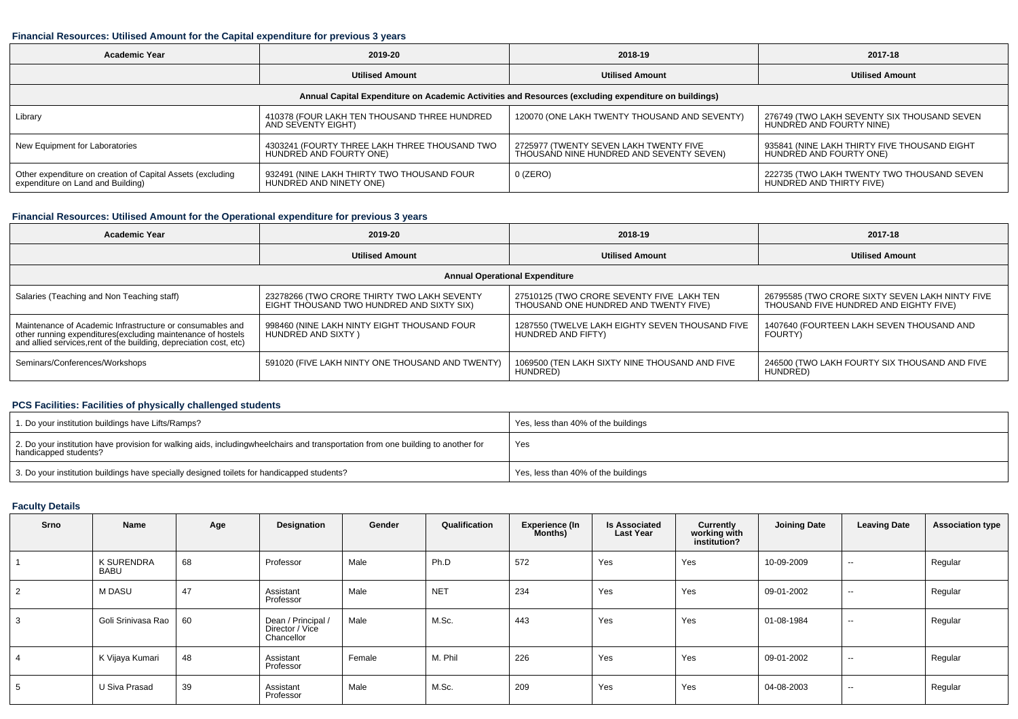#### **Financial Resources: Utilised Amount for the Capital expenditure for previous 3 years**

| <b>Academic Year</b>                                                                            | 2019-20                                                                  | 2018-19                                                                                              | 2017-18                                                                 |  |
|-------------------------------------------------------------------------------------------------|--------------------------------------------------------------------------|------------------------------------------------------------------------------------------------------|-------------------------------------------------------------------------|--|
|                                                                                                 | <b>Utilised Amount</b>                                                   | <b>Utilised Amount</b>                                                                               | <b>Utilised Amount</b>                                                  |  |
|                                                                                                 |                                                                          | Annual Capital Expenditure on Academic Activities and Resources (excluding expenditure on buildings) |                                                                         |  |
| Library                                                                                         | 410378 (FOUR LAKH TEN THOUSAND THREE HUNDRED<br>AND SEVENTY EIGHT)       | 120070 (ONE LAKH TWENTY THOUSAND AND SEVENTY)                                                        | 276749 (TWO LAKH SEVENTY SIX THOUSAND SEVEN<br>HUNDRED AND FOURTY NINE) |  |
| New Equipment for Laboratories                                                                  | 4303241 (FOURTY THREE LAKH THREE THOUSAND TWO<br>HUNDRED AND FOURTY ONE) | 2725977 (TWENTY SEVEN LAKH TWENTY FIVE<br>THOUSAND NINE HUNDRED AND SEVENTY SEVEN)                   | 935841 (NINE LAKH THIRTY FIVE THOUSAND EIGHT<br>HUNDRED AND FOURTY ONE) |  |
| Other expenditure on creation of Capital Assets (excluding<br>expenditure on Land and Building) | 932491 (NINE LAKH THIRTY TWO THOUSAND FOUR<br>HUNDRED AND NINETY ONE)    | 0 (ZERO)                                                                                             | 222735 (TWO LAKH TWENTY TWO THOUSAND SEVEN<br>HUNDRED AND THIRTY FIVE)  |  |

## **Financial Resources: Utilised Amount for the Operational expenditure for previous 3 years**

| <b>Academic Year</b>                                                                                                                                                                           | 2019-20                                                                                  | 2018-19                                                                            | 2017-18                                                                                   |  |  |  |  |  |  |  |  |  |
|------------------------------------------------------------------------------------------------------------------------------------------------------------------------------------------------|------------------------------------------------------------------------------------------|------------------------------------------------------------------------------------|-------------------------------------------------------------------------------------------|--|--|--|--|--|--|--|--|--|
|                                                                                                                                                                                                | <b>Utilised Amount</b>                                                                   | <b>Utilised Amount</b>                                                             | <b>Utilised Amount</b>                                                                    |  |  |  |  |  |  |  |  |  |
| <b>Annual Operational Expenditure</b>                                                                                                                                                          |                                                                                          |                                                                                    |                                                                                           |  |  |  |  |  |  |  |  |  |
| Salaries (Teaching and Non Teaching staff)                                                                                                                                                     | 23278266 (TWO CRORE THIRTY TWO LAKH SEVENTY<br>EIGHT THOUSAND TWO HUNDRED AND SIXTY SIX) | 27510125 (TWO CRORE SEVENTY FIVE LAKH TEN<br>THOUSAND ONE HUNDRED AND TWENTY FIVE) | 26795585 (TWO CRORE SIXTY SEVEN LAKH NINTY FIVE<br>THOUSAND FIVE HUNDRED AND EIGHTY FIVE) |  |  |  |  |  |  |  |  |  |
| Maintenance of Academic Infrastructure or consumables and<br>other running expenditures(excluding maintenance of hostels<br>and allied services, rent of the building, depreciation cost, etc) | 998460 (NINE LAKH NINTY EIGHT THOUSAND FOUR<br>HUNDRED AND SIXTY)                        | 1287550 (TWELVE LAKH EIGHTY SEVEN THOUSAND FIVE<br>HUNDRED AND FIFTY)              | 1407640 (FOURTEEN LAKH SEVEN THOUSAND AND<br><b>FOURTY)</b>                               |  |  |  |  |  |  |  |  |  |
| Seminars/Conferences/Workshops                                                                                                                                                                 | 591020 (FIVE LAKH NINTY ONE THOUSAND AND TWENTY)                                         | 1069500 (TEN LAKH SIXTY NINE THOUSAND AND FIVE<br>HUNDRED)                         | 246500 (TWO LAKH FOURTY SIX THOUSAND AND FIVE<br>HUNDRED)                                 |  |  |  |  |  |  |  |  |  |

### **PCS Facilities: Facilities of physically challenged students**

| 1. Do your institution buildings have Lifts/Ramps?                                                                                                        | Yes, less than 40% of the buildings |
|-----------------------------------------------------------------------------------------------------------------------------------------------------------|-------------------------------------|
| 2. Do your institution have provision for walking aids, includingwheelchairs and transportation from one building to another for<br>handicapped students? | Yes                                 |
| 3. Do your institution buildings have specially designed toilets for handicapped students?                                                                | Yes, less than 40% of the buildings |

#### **Faculty Details**

| <b>Srno</b> | Name                      | Age | Designation                                         | Gender | Qualification | <b>Experience (In</b><br>Months) | <b>Is Associated</b><br><b>Last Year</b> | Currently<br>working with<br>institution? | <b>Joining Date</b> | <b>Leaving Date</b>      | <b>Association type</b> |
|-------------|---------------------------|-----|-----------------------------------------------------|--------|---------------|----------------------------------|------------------------------------------|-------------------------------------------|---------------------|--------------------------|-------------------------|
|             | <b>K SURENDRA</b><br>BABU | 68  | Professor                                           | Male   | Ph.D          | 572                              | Yes                                      | Yes                                       | 10-09-2009          | $\sim$                   | Regular                 |
|             | M DASU                    | 47  | Assistant<br>Professor                              | Male   | <b>NET</b>    | 234                              | Yes                                      | Yes                                       | 09-01-2002          | $\sim$                   | Regular                 |
|             | Goli Srinivasa Rao        | 60  | Dean / Principal /<br>Director / Vice<br>Chancellor | Male   | M.Sc.         | 443                              | Yes                                      | Yes                                       | 01-08-1984          | $\overline{\phantom{a}}$ | Regular                 |
|             | K Vijaya Kumari           | 48  | Assistant<br>Professor                              | Female | M. Phil       | 226                              | Yes                                      | Yes                                       | 09-01-2002          | $\sim$                   | Regular                 |
|             | U Siva Prasad             | 39  | Assistant<br>Professor                              | Male   | M.Sc.         | 209                              | Yes                                      | Yes                                       | 04-08-2003          | $\sim$                   | Regular                 |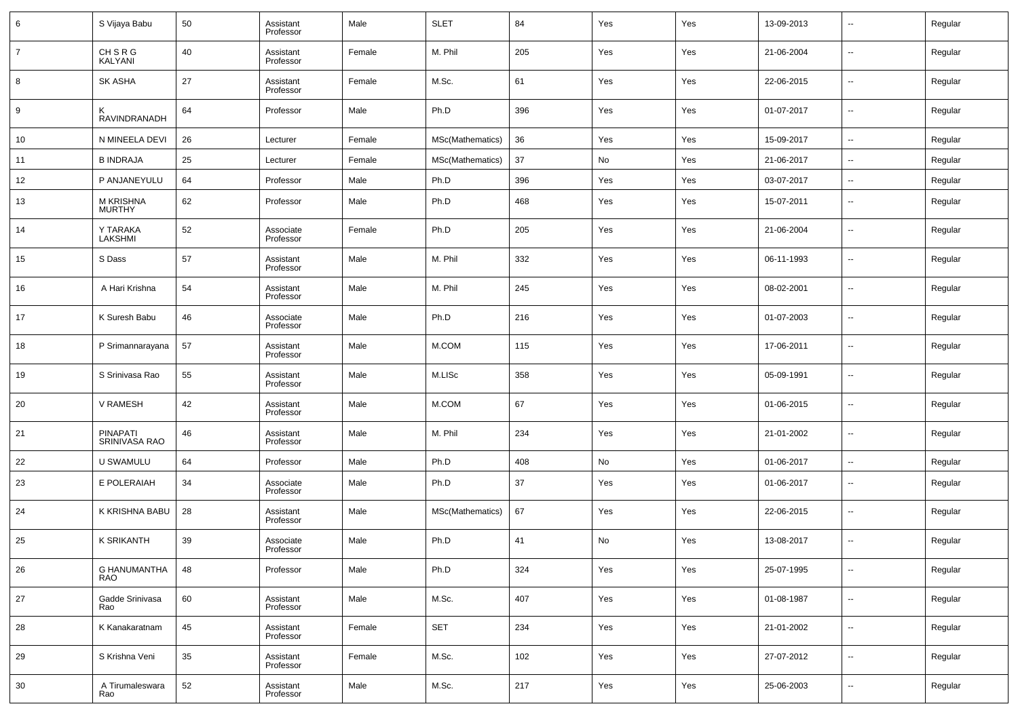| 6              | S Vijaya Babu                     | 50 | Assistant<br>Professor | Male   | <b>SLET</b>      | 84  | Yes | Yes | 13-09-2013 | --                       | Regular |
|----------------|-----------------------------------|----|------------------------|--------|------------------|-----|-----|-----|------------|--------------------------|---------|
| $\overline{7}$ | CH S R G<br>KALYANI               | 40 | Assistant<br>Professor | Female | M. Phil          | 205 | Yes | Yes | 21-06-2004 | --                       | Regular |
| 8              | SK ASHA                           | 27 | Assistant<br>Professor | Female | M.Sc.            | 61  | Yes | Yes | 22-06-2015 | ш.                       | Regular |
| 9              | ĸ<br>RAVINDRANADH                 | 64 | Professor              | Male   | Ph.D             | 396 | Yes | Yes | 01-07-2017 | --                       | Regular |
| 10             | N MINEELA DEVI                    | 26 | Lecturer               | Female | MSc(Mathematics) | 36  | Yes | Yes | 15-09-2017 | $\overline{\phantom{a}}$ | Regular |
| 11             | <b>B INDRAJA</b>                  | 25 | Lecturer               | Female | MSc(Mathematics) | 37  | No  | Yes | 21-06-2017 | $\sim$                   | Regular |
| 12             | P ANJANEYULU                      | 64 | Professor              | Male   | Ph.D             | 396 | Yes | Yes | 03-07-2017 | --                       | Regular |
| 13             | M KRISHNA<br><b>MURTHY</b>        | 62 | Professor              | Male   | Ph.D             | 468 | Yes | Yes | 15-07-2011 | --                       | Regular |
| 14             | Y TARAKA<br>LAKSHMI               | 52 | Associate<br>Professor | Female | Ph.D             | 205 | Yes | Yes | 21-06-2004 | --                       | Regular |
| 15             | S Dass                            | 57 | Assistant<br>Professor | Male   | M. Phil          | 332 | Yes | Yes | 06-11-1993 | --                       | Regular |
| 16             | A Hari Krishna                    | 54 | Assistant<br>Professor | Male   | M. Phil          | 245 | Yes | Yes | 08-02-2001 | --                       | Regular |
| 17             | K Suresh Babu                     | 46 | Associate<br>Professor | Male   | Ph.D             | 216 | Yes | Yes | 01-07-2003 | --                       | Regular |
| 18             | P Srimannarayana                  | 57 | Assistant<br>Professor | Male   | M.COM            | 115 | Yes | Yes | 17-06-2011 | --                       | Regular |
| 19             | S Srinivasa Rao                   | 55 | Assistant<br>Professor | Male   | M.LISc           | 358 | Yes | Yes | 05-09-1991 | --                       | Regular |
| 20             | V RAMESH                          | 42 | Assistant<br>Professor | Male   | M.COM            | 67  | Yes | Yes | 01-06-2015 | --                       | Regular |
| 21             | <b>PINAPATI</b><br>SRINIVASA RAO  | 46 | Assistant<br>Professor | Male   | M. Phil          | 234 | Yes | Yes | 21-01-2002 | --                       | Regular |
| 22             | U SWAMULU                         | 64 | Professor              | Male   | Ph.D             | 408 | No  | Yes | 01-06-2017 | --                       | Regular |
| 23             | E POLERAIAH                       | 34 | Associate<br>Professor | Male   | Ph.D             | 37  | Yes | Yes | 01-06-2017 | $\overline{\phantom{a}}$ | Regular |
| 24             | K KRISHNA BABU                    | 28 | Assistant<br>Professor | Male   | MSc(Mathematics) | 67  | Yes | Yes | 22-06-2015 | --                       | Regular |
| 25             | K SRIKANTH                        | 39 | Associate<br>Professor | Male   | Ph.D             | 41  | No  | Yes | 13-08-2017 | ۰.                       | Regular |
| 26             | <b>G HANUMANTHA</b><br><b>RAO</b> | 48 | Professor              | Male   | Ph.D             | 324 | Yes | Yes | 25-07-1995 | --                       | Regular |
| 27             | Gadde Srinivasa<br>Rao            | 60 | Assistant<br>Professor | Male   | M.Sc.            | 407 | Yes | Yes | 01-08-1987 | $\sim$                   | Regular |
| 28             | K Kanakaratnam                    | 45 | Assistant<br>Professor | Female | <b>SET</b>       | 234 | Yes | Yes | 21-01-2002 | $\sim$                   | Regular |
| 29             | S Krishna Veni                    | 35 | Assistant<br>Professor | Female | M.Sc.            | 102 | Yes | Yes | 27-07-2012 | $\sim$                   | Regular |
| 30             | A Tirumaleswara<br>Rao            | 52 | Assistant<br>Professor | Male   | M.Sc.            | 217 | Yes | Yes | 25-06-2003 | $\sim$                   | Regular |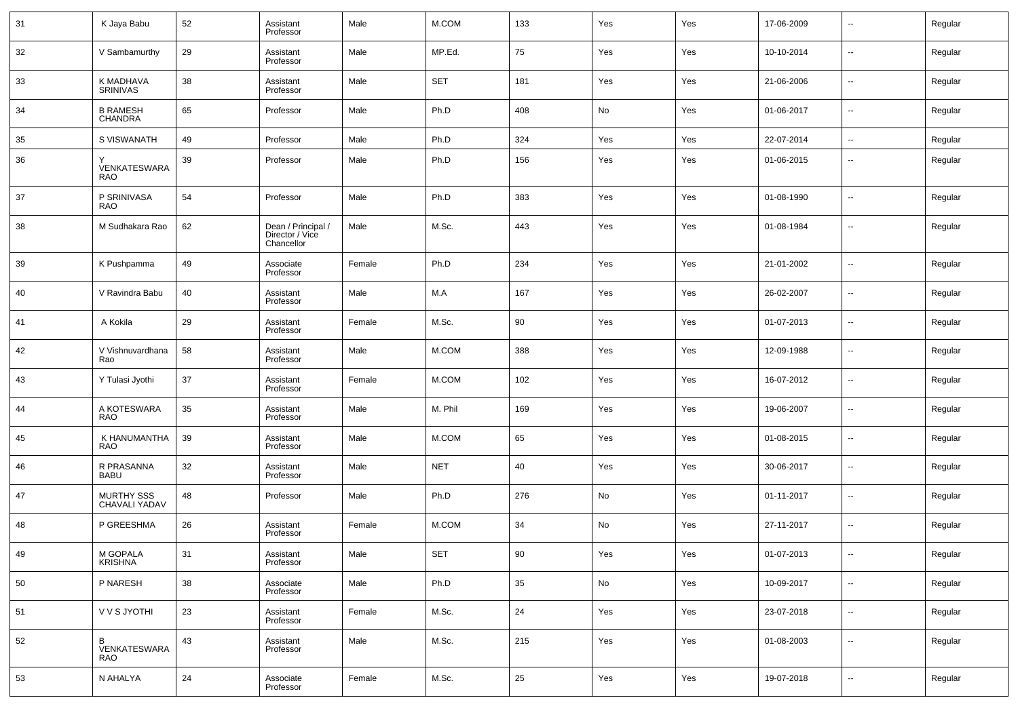| 31 | K Jaya Babu                  | 52 | Assistant<br>Professor                              | Male   | M.COM      | 133 | Yes | Yes | 17-06-2009 | $\sim$                   | Regular |
|----|------------------------------|----|-----------------------------------------------------|--------|------------|-----|-----|-----|------------|--------------------------|---------|
| 32 | V Sambamurthy                | 29 | Assistant<br>Professor                              | Male   | MP.Ed.     | 75  | Yes | Yes | 10-10-2014 | --                       | Regular |
| 33 | K MADHAVA<br><b>SRINIVAS</b> | 38 | Assistant<br>Professor                              | Male   | <b>SET</b> | 181 | Yes | Yes | 21-06-2006 | $\sim$                   | Regular |
| 34 | <b>B RAMESH</b><br>CHANDRA   | 65 | Professor                                           | Male   | Ph.D       | 408 | No  | Yes | 01-06-2017 | --                       | Regular |
| 35 | S VISWANATH                  | 49 | Professor                                           | Male   | Ph.D       | 324 | Yes | Yes | 22-07-2014 | $\sim$                   | Regular |
| 36 | VENKATESWARA<br><b>RAO</b>   | 39 | Professor                                           | Male   | Ph.D       | 156 | Yes | Yes | 01-06-2015 | ۰.                       | Regular |
| 37 | P SRINIVASA<br><b>RAO</b>    | 54 | Professor                                           | Male   | Ph.D       | 383 | Yes | Yes | 01-08-1990 | --                       | Regular |
| 38 | M Sudhakara Rao              | 62 | Dean / Principal /<br>Director / Vice<br>Chancellor | Male   | M.Sc.      | 443 | Yes | Yes | 01-08-1984 | $\overline{\phantom{a}}$ | Regular |
| 39 | K Pushpamma                  | 49 | Associate<br>Professor                              | Female | Ph.D       | 234 | Yes | Yes | 21-01-2002 | --                       | Regular |
| 40 | V Ravindra Babu              | 40 | Assistant<br>Professor                              | Male   | M.A        | 167 | Yes | Yes | 26-02-2007 | --                       | Regular |
| 41 | A Kokila                     | 29 | Assistant<br>Professor                              | Female | M.Sc.      | 90  | Yes | Yes | 01-07-2013 | --                       | Regular |
| 42 | V Vishnuvardhana<br>Rao      | 58 | Assistant<br>Professor                              | Male   | M.COM      | 388 | Yes | Yes | 12-09-1988 | $\overline{\phantom{a}}$ | Regular |
| 43 | Y Tulasi Jyothi              | 37 | Assistant<br>Professor                              | Female | M.COM      | 102 | Yes | Yes | 16-07-2012 | $\overline{\phantom{a}}$ | Regular |
| 44 | A KOTESWARA<br>RAO           | 35 | Assistant<br>Professor                              | Male   | M. Phil    | 169 | Yes | Yes | 19-06-2007 | --                       | Regular |
| 45 | K HANUMANTHA<br><b>RAO</b>   | 39 | Assistant<br>Professor                              | Male   | M.COM      | 65  | Yes | Yes | 01-08-2015 | $\overline{\phantom{a}}$ | Regular |
| 46 | R PRASANNA<br><b>BABU</b>    | 32 | Assistant<br>Professor                              | Male   | <b>NET</b> | 40  | Yes | Yes | 30-06-2017 | --                       | Regular |
| 47 | MURTHY SSS<br>CHAVALI YADAV  | 48 | Professor                                           | Male   | Ph.D       | 276 | No  | Yes | 01-11-2017 | $\overline{\phantom{a}}$ | Regular |
| 48 | P GREESHMA                   | 26 | Assistant<br>Professor                              | Female | M.COM      | 34  | No  | Yes | 27-11-2017 | --                       | Regular |
| 49 | M GOPALA<br>KRISHNA          | 31 | Assistant<br>Professor                              | Male   | SET        | 90  | Yes | Yes | 01-07-2013 |                          | Regular |
| 50 | P NARESH                     | 38 | Associate<br>Professor                              | Male   | Ph.D       | 35  | No  | Yes | 10-09-2017 | $\sim$                   | Regular |
| 51 | V V S JYOTHI                 | 23 | Assistant<br>Professor                              | Female | M.Sc.      | 24  | Yes | Yes | 23-07-2018 | $\sim$                   | Regular |
| 52 | B<br>VENKATESWARA<br>RAO     | 43 | Assistant<br>Professor                              | Male   | M.Sc.      | 215 | Yes | Yes | 01-08-2003 | $\sim$                   | Regular |
| 53 | N AHALYA                     | 24 | Associate<br>Professor                              | Female | M.Sc.      | 25  | Yes | Yes | 19-07-2018 | $\sim$                   | Regular |